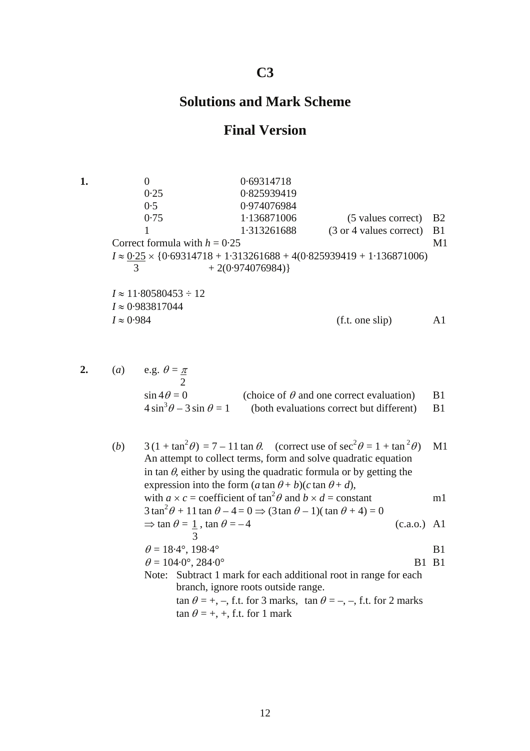## **C3**

## **Solutions and Mark Scheme**

## **Final Version**

**1.** 0 0 0.69314718 0·25 0·825939419 0·5 0·974076984 0·75 1·136871006 (5 values correct) B2 1 1·313261688 (3 or 4 values correct) B1 Correct formula with  $h = 0.25$  M1  $I \approx \frac{0.25}{3} \times \{0.69314718 + 1.313261688 + 4(0.825939419 + 1.136871006)$ <br> $+ 2(0.974076984)\}$  $+ 2(0.974076984)$ *I* ≈ 11·80580453 ÷ 12 *I* ≈ 0·983817044  $I \approx 0.984$  (f.t. one slip) A1

| 2. | (a) e.g. $\theta = \pi$           |                                                 |      |  |
|----|-----------------------------------|-------------------------------------------------|------|--|
|    | $\sin 4\theta = 0$                | (choice of $\theta$ and one correct evaluation) | - B1 |  |
|    | $4\sin^3\theta - 3\sin\theta = 1$ | (both evaluations correct but different) B1     |      |  |

|                                                                | (b) |                                                                           |                                                                     | $3(1 + \tan^2 \theta) = 7 - 11 \tan \theta$ . (correct use of $\sec^2 \theta = 1 + \tan^2 \theta$ ) |               | M1 |
|----------------------------------------------------------------|-----|---------------------------------------------------------------------------|---------------------------------------------------------------------|-----------------------------------------------------------------------------------------------------|---------------|----|
| An attempt to collect terms, form and solve quadratic equation |     |                                                                           |                                                                     |                                                                                                     |               |    |
|                                                                |     | in tan $\theta$ , either by using the quadratic formula or by getting the |                                                                     |                                                                                                     |               |    |
|                                                                |     |                                                                           | expression into the form $(a \tan \theta + b)(c \tan \theta + d)$ , |                                                                                                     |               |    |
|                                                                |     |                                                                           |                                                                     | with $a \times c$ = coefficient of $\tan^2 \theta$ and $b \times d$ = constant                      |               | ml |
|                                                                |     |                                                                           |                                                                     | $3\tan^2\theta + 11\tan\theta - 4 = 0 \Rightarrow (3\tan\theta - 1)(\tan\theta + 4) = 0$            |               |    |
|                                                                |     |                                                                           | $\Rightarrow$ tan $\theta = 1$ , tan $\theta = -4$                  |                                                                                                     | $(c.a.0.)$ Al |    |
|                                                                |     |                                                                           |                                                                     |                                                                                                     |               |    |
|                                                                |     | $\theta = 18.4^{\circ}, 198.4^{\circ}$                                    |                                                                     | B <sub>1</sub>                                                                                      |               |    |
|                                                                |     | $\theta = 104.0^{\circ}, 284.0^{\circ}$                                   |                                                                     | ВT                                                                                                  | <b>B</b> 1    |    |
|                                                                |     | Note:                                                                     |                                                                     | Subtract 1 mark for each additional root in range for each                                          |               |    |
|                                                                |     |                                                                           | branch, ignore roots outside range.                                 |                                                                                                     |               |    |
|                                                                |     |                                                                           |                                                                     | $\tan \theta = +, -$ , f.t. for 3 marks, $\tan \theta = -, -$ , f.t. for 2 marks                    |               |    |
|                                                                |     |                                                                           | $\tan \theta = +, +,$ f.t. for 1 mark                               |                                                                                                     |               |    |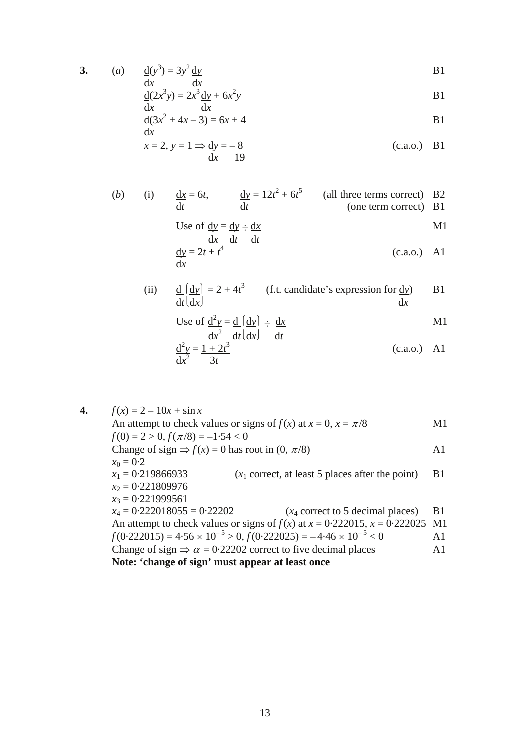**3.**  $(a)$ 

a) 
$$
\frac{d(y^3)}{dx} = 3y^2 \frac{dy}{dx}
$$
 B1

$$
\frac{d(2x^3y)}{dx} = 2x^3 \frac{dy}{dx} + 6x^2y
$$

$$
\frac{d(3x^2 + 4x - 3) = 6x + 4}{dx}
$$
 B1

$$
x = 2, y = 1 \Rightarrow \frac{dy}{dx} = -\frac{8}{19}
$$
 (c.a.o.) B1

(b) (i) 
$$
\frac{dx}{dt} = 6t
$$
,  $\frac{dy}{dt} = 12t^2 + 6t^5$  (all three terms correct) B2  
(one term correct) B1

Use of 
$$
\underline{dy} = \underline{dy} \div \underline{dx}
$$
  
\n $\underline{dx}$   $\underline{dt}$   $\underline{dt}$   
\n $\underline{dx}$   $\underline{d}t$   $\underline{d}t$  (3.3.1)

$$
\frac{\mathrm{d}y}{\mathrm{d}x} = 2t + t^4 \tag{c.a.o.)} \quad \text{A1}
$$

(ii) 
$$
\frac{d}{dt} \left( \frac{dy}{dx} \right) = 2 + 4t^3
$$
 (f.t. candidate's expression for dy) B1

Use of 
$$
\frac{d^2y}{dx^2} = \frac{d}{dt} \left| \frac{dy}{dx} \right| = \frac{dx}{dt}
$$

$$
\frac{d^2y}{dx^2} = \frac{1+2t^3}{3t}
$$
 *dt dt* (c.a.o.) A1

**4.**  $f(x) = 2 - 10x + \sin x$ An attempt to check values or signs of  $f(x)$  at  $x = 0$ ,  $x = \pi/8$  M1  $f(0) = 2 > 0, f(\pi/8) = -1.54 < 0$ Change of sign  $\Rightarrow$  *f*(*x*) = 0 has root in (0,  $\pi$ /8) A1  $x_0 = 0.2$  $x_1 = 0.219866933$  ( $x_1$  correct, at least 5 places after the point) B1 *x*2 = 0·221809976  $x_3 = 0.221999561$ <br> $x_4 = 0.222018055 = 0.22202$  $(x_4$  correct to 5 decimal places) B1 An attempt to check values or signs of  $f(x)$  at  $x = 0.222015$ ,  $x = 0.222025$  M1  $f(0.222015) = 4.56 \times 10^{-5} > 0, f(0.222025) = -4.46 \times 10^{-5} < 0$  A1 Change of sign  $\Rightarrow \alpha = 0.22202$  correct to five decimal places A1 **Note: 'change of sign' must appear at least once**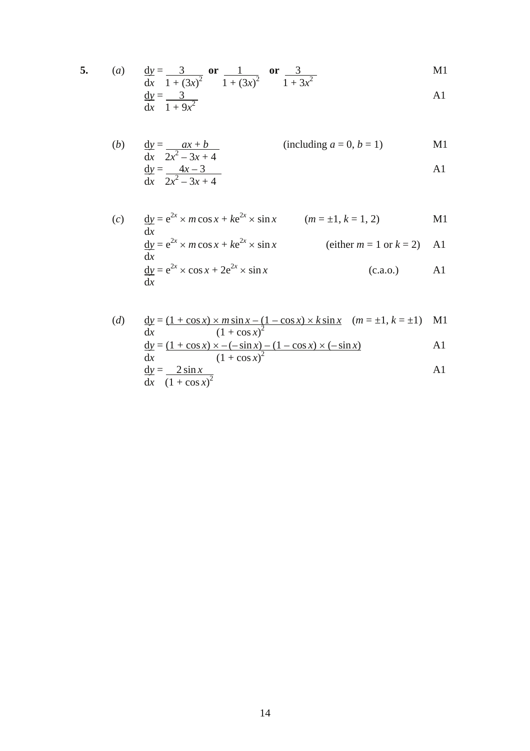5. (a) 
$$
\frac{dy}{dx} = \frac{3}{1 + (3x)^2}
$$
 or  $\frac{1}{1 + (3x)^2}$  or  $\frac{3}{1 + 3x^2}$  M1

$$
\frac{\text{d}y}{\text{d}x} = \frac{3}{1 + 9x^2} \tag{A1}
$$

(b) 
$$
\frac{dy}{dx} = \frac{ax + b}{2x^2 - 3x + 4}
$$
 (including  $a = 0, b = 1$ ) M1  
\n $\frac{dy}{dx} = \frac{4x - 3}{2x^2 - 3x + 4}$  A1

(c) 
$$
\frac{dy}{dx} = e^{2x} \times m \cos x + k e^{2x} \times \sin x \qquad (m = \pm 1, k = 1, 2)
$$
 M1  
\n
$$
\frac{dy}{dx} = e^{2x} \times m \cos x + k e^{2x} \times \sin x \qquad \text{(either } m = 1 \text{ or } k = 2)
$$
 A1  
\n
$$
\frac{dy}{dx} = e^{2x} \times \cos x + 2e^{2x} \times \sin x \qquad \text{(c.a.o.)}
$$
 A1

(d) 
$$
\frac{dy}{dx} = \frac{(1 + \cos x) \times m \sin x - (1 - \cos x) \times k \sin x}{(1 + \cos x)^2}
$$
  $(m = \pm 1, k = \pm 1)$  M1  
\n
$$
\frac{dy}{dx} = \frac{(1 + \cos x) \times -(-\sin x) - (1 - \cos x) \times (-\sin x)}{(1 + \cos x)^2}
$$
 A1  
\n
$$
\frac{dy}{dx} = \frac{2 \sin x}{(1 + \cos x)^2}
$$
 A1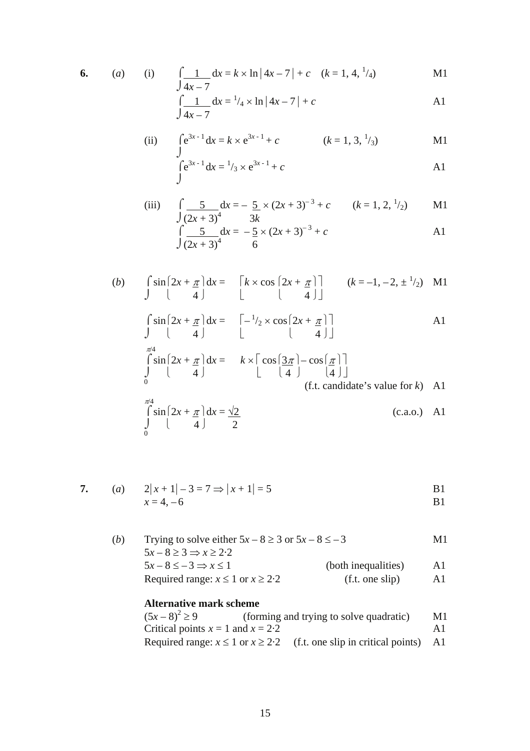$$
6. (a)
$$

6. (a) (i) 
$$
\int \frac{1}{4x-7} dx = k \times \ln|4x-7| + c
$$
  $(k = 1, 4, \frac{1}{4})$  M1

$$
\int \frac{1}{4x - 7} dx = \frac{1}{4} \times \ln|4x - 7| + c
$$

(ii) 
$$
\int e^{3x-1} dx = k \times e^{3x-1} + c
$$
  $(k = 1, 3, \frac{1}{3})$  M1

$$
\int e^{3x-1} dx = \frac{1}{3} \times e^{3x-1} + c
$$

(iii) 
$$
\int \frac{5}{(2x+3)^4} dx = -\frac{5}{3x} \times (2x+3)^{-3} + c \qquad (k = 1, 2, \frac{1}{2})
$$
 M1  

$$
\int \frac{5}{(2x+3)^4} dx = -\frac{5}{6} \times (2x+3)^{-3} + c
$$
 A1

(b) 
$$
\int_{0}^{\pi/4} \sin\left[2x + \frac{\pi}{4}\right] dx = \left[k \times \cos\left[2x + \frac{\pi}{4}\right]\right] \qquad (k = -1, -2, \pm \frac{1}{2})
$$
 M1  
\n
$$
\int_{\pi/4}^{\pi/4} \sin\left[2x + \frac{\pi}{4}\right] dx = \left[-\frac{1}{2} \times \cos\left[2x + \frac{\pi}{4}\right]\right]
$$
 A1  
\n
$$
\int_{0}^{\pi/4} \sin\left[2x + \frac{\pi}{4}\right] dx = k \times \left[\cos\left[\frac{3\pi}{4}\right] - \cos\left[\frac{\pi}{4}\right]\right]
$$
  
\n(f.t. candidate's value for k) A1  
\n
$$
\int_{0}^{\pi/4} \sin\left[2x + \frac{\pi}{4}\right] dx = \frac{\sqrt{2}}{2}
$$
  
\n(c.a.o.) A1

7. (a) 
$$
2|x+1|-3=7 \Rightarrow |x+1|=5
$$
 B1  
  $x=4,-6$  B1

(*b*) Trying to solve either  $5x - 8 \ge 3$  or  $5x - 8 \le -3$  M1  $5x - 8 \ge 3 \Rightarrow x \ge 2.2$  $5x - 8 \le -3 \Rightarrow x \le 1$  (both inequalities) A1 Required range:  $x \le 1$  or  $x \ge 2.2$  (f.t. one slip) A1

## **Alternative mark scheme**

| $(5x-8)^2 \ge 9$                      | (forming and trying to solve quadratic)                                        | M1. |
|---------------------------------------|--------------------------------------------------------------------------------|-----|
| Critical points $x = 1$ and $x = 2.2$ |                                                                                | Αl  |
|                                       | Required range: $x \le 1$ or $x \ge 2.2$ (f.t. one slip in critical points) A1 |     |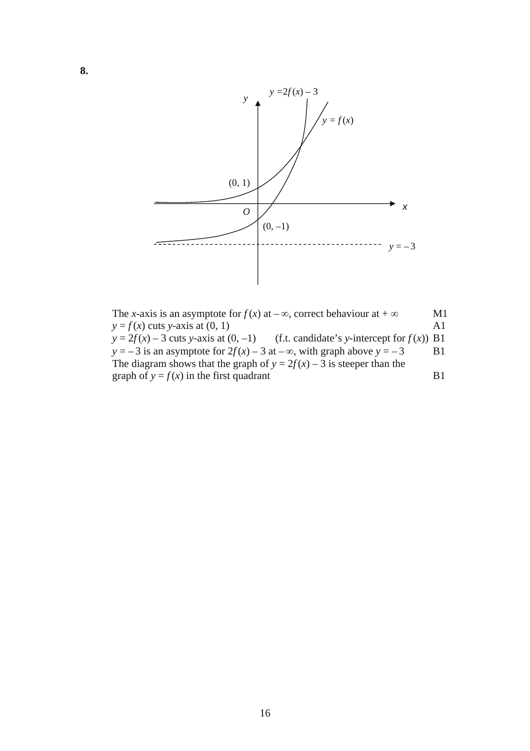

The *x*-axis is an asymptote for  $f(x)$  at  $-\infty$ , correct behaviour at  $+\infty$  M1  $y = f(x)$  cuts *y*-axis at  $(0, 1)$  A1  $y = 2f(x) - 3$  cuts *y*-axis at  $(0, -1)$  (f.t. candidate's *y*-intercept for  $f(x)$ ) B1 *y* = –3 is an asymptote for  $2f(x)$  – 3 at – $\infty$ , with graph above  $y = -3$  B1 The diagram shows that the graph of  $y = 2f(x) - 3$  is steeper than the graph of  $y = f(x)$  in the first quadrant B1